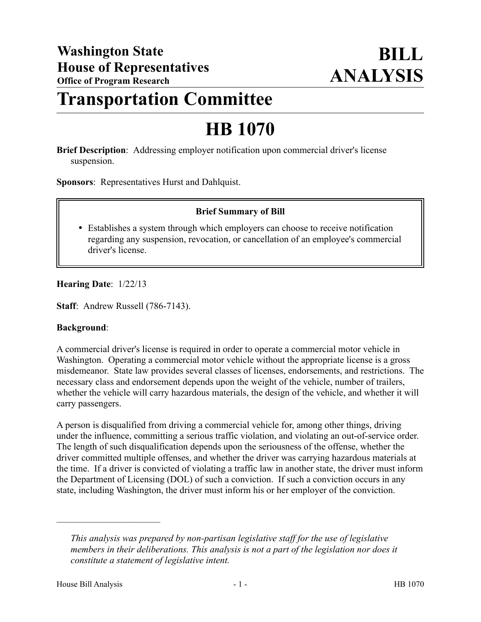# **Transportation Committee**

# **HB 1070**

**Brief Description**: Addressing employer notification upon commercial driver's license suspension.

**Sponsors**: Representatives Hurst and Dahlquist.

## **Brief Summary of Bill**

 Establishes a system through which employers can choose to receive notification regarding any suspension, revocation, or cancellation of an employee's commercial driver's license.

## **Hearing Date**: 1/22/13

**Staff**: Andrew Russell (786-7143).

#### **Background**:

A commercial driver's license is required in order to operate a commercial motor vehicle in Washington. Operating a commercial motor vehicle without the appropriate license is a gross misdemeanor. State law provides several classes of licenses, endorsements, and restrictions. The necessary class and endorsement depends upon the weight of the vehicle, number of trailers, whether the vehicle will carry hazardous materials, the design of the vehicle, and whether it will carry passengers.

A person is disqualified from driving a commercial vehicle for, among other things, driving under the influence, committing a serious traffic violation, and violating an out-of-service order. The length of such disqualification depends upon the seriousness of the offense, whether the driver committed multiple offenses, and whether the driver was carrying hazardous materials at the time. If a driver is convicted of violating a traffic law in another state, the driver must inform the Department of Licensing (DOL) of such a conviction. If such a conviction occurs in any state, including Washington, the driver must inform his or her employer of the conviction.

––––––––––––––––––––––

*This analysis was prepared by non-partisan legislative staff for the use of legislative members in their deliberations. This analysis is not a part of the legislation nor does it constitute a statement of legislative intent.*